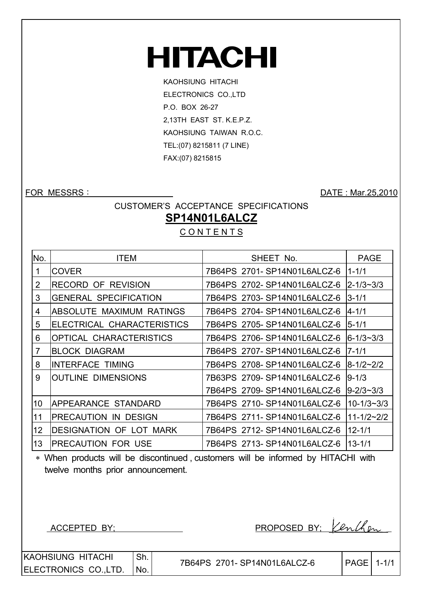# **HITACHI**

KAOHSIUNG HITACHI ELECTRONICS CO.,LTD P.O. BOX 26-27 2,13TH EAST ST. K.E.P.Z. KAOHSIUNG TAIWAN R.O.C. TEL:(07) 8215811 (7 LINE) FAX:(07) 8215815

FOR MESSRS: DATE: Mar.25,2010

CUSTOMER'S ACCEPTANCE SPECIFICATIONS

# **SP14N01L6ALCZ**

**CONTENTS** 

| No.             | <b>ITEM</b>                     | SHEET No.                   | <b>PAGE</b>      |
|-----------------|---------------------------------|-----------------------------|------------------|
| 1               | <b>COVER</b>                    | 7B64PS 2701-SP14N01L6ALCZ-6 | $1 - 1/1$        |
| 2               | <b>RECORD OF REVISION</b>       | 7B64PS 2702-SP14N01L6ALCZ-6 | $2 - 1/3 - 3/3$  |
| 3               | <b>GENERAL SPECIFICATION</b>    | 7B64PS 2703-SP14N01L6ALCZ-6 | $3 - 1/1$        |
| 4               | <b>ABSOLUTE MAXIMUM RATINGS</b> | 7B64PS 2704-SP14N01L6ALCZ-6 | $4 - 1/1$        |
| 5               | ELECTRICAL CHARACTERISTICS      | 7B64PS 2705-SP14N01L6ALCZ-6 | $5 - 1/1$        |
| 6               | <b>OPTICAL CHARACTERISTICS</b>  | 7B64PS 2706-SP14N01L6ALCZ-6 | 6-1/3~3/3        |
| 7               | <b>BLOCK DIAGRAM</b>            | 7B64PS 2707-SP14N01L6ALCZ-6 | $7 - 1/1$        |
| 8               | <b>INTERFACE TIMING</b>         | 7B64PS 2708-SP14N01L6ALCZ-6 | $8 - 1/2 - 2/2$  |
| 9               | <b>OUTLINE DIMENSIONS</b>       | 7B63PS 2709-SP14N01L6ALCZ-6 | $9 - 1/3$        |
|                 |                                 | 7B64PS 2709-SP14N01L6ALCZ-6 | $9 - 2/3 - 3/3$  |
| 10              | APPEARANCE STANDARD             | 7B64PS 2710-SP14N01L6ALCZ-6 | $10 - 1/3 - 3/3$ |
| 11              | <b>PRECAUTION IN DESIGN</b>     | 7B64PS 2711-SP14N01L6ALCZ-6 | $11 - 1/2 - 2/2$ |
| 12 <sup>2</sup> | DESIGNATION OF LOT MARK         | 7B64PS 2712-SP14N01L6ALCZ-6 | $12 - 1/1$       |
| 13              | <b>PRECAUTION FOR USE</b>       | 7B64PS 2713-SP14N01L6ALCZ-6 | $13 - 1/1$       |

 When products will be discontinued , customers will be informed by HITACHI with twelve months prior announcement.

ACCEPTED BY; PROPOSED BY; Kenchen

KAOHSIUNG HITACHI ELECTRONICS CO.,LTD.

Sh. No.

7B64PS 2701- SP14N01L6ALCZ-6 PAGE 1-1/1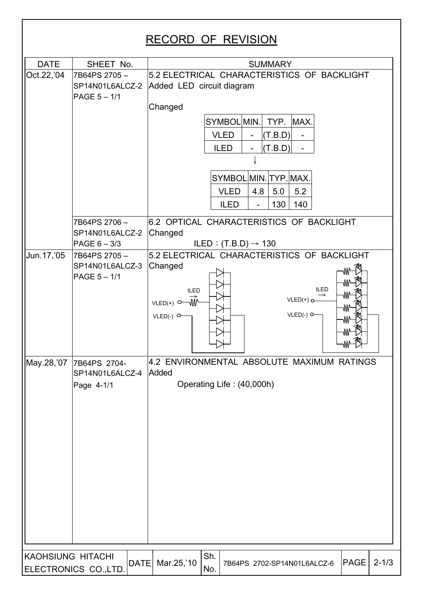## RECORD OF REVISION DATE | SHEET No. | SUMMARY Oct.22,'04 5.2 ELECTRICAL CHARACTERISTICS OF BACKLIGHT 7B64PS 2705 – SP14N01L6ALCZ-2 Added LED circuit diagram PAGE 5 – 1/1 **Changed** SYMBOL MIN. TYP. MAX.  $VLED$  -  $( T.B.D )$  $|LED | - |(T.B.D) | \downarrow$ SYMBOL MIN. TYP. MAX. VLED  $|4.8|5.0|5.2$  $ILED$   $-$  130 140 6.2 OPTICAL CHARACTERISTICS OF BACKLIGHT 7B64PS 2706 – SP14N01L6ALCZ-2 Changed PAGE 6 – 3/3  $ILED : (T.B.D) \rightarrow 130$ Jun.17,'05 7B64PS 2705 – 5.2 ELECTRICAL CHARACTERISTICS OF BACKLIGHT SP14N01L6ALCZ-3 **Changed** wB PAGE 5 – 1/1 ٨W ILED ILED  $VLED(+)$   $\Omega$  $VLED(+)$   $\sim$   $\sqrt{W}$  $VLED(-)$ <sup> $O-$ </sup>  $VLED(-)$ <sup> $O-$ </sup> 4.2 ENVIRONMENTAL ABSOLUTE MAXIMUM RATINGS May.28,'07 7B64PS 2704-Added SP14N01L6ALCZ-4 Operating Life : (40,000h) Page 4-1/1 KAOHSIUNG HITACHI Sh. ELECTRONICS CO.,LTD. DATE Mar.25, 10  $\vert$  7B64PS 2702-SP14N01L6ALCZ-6  $\vert$ PAGE 2-1/3 No.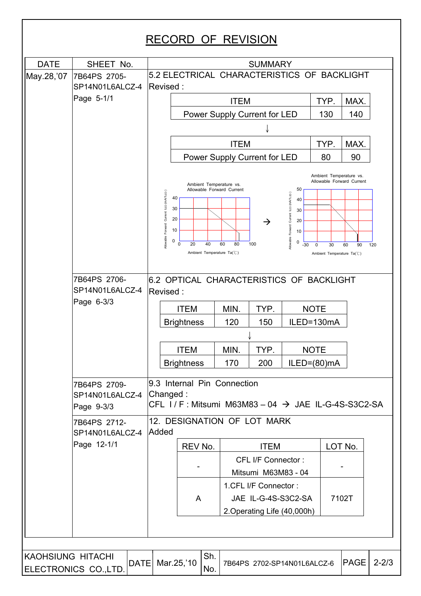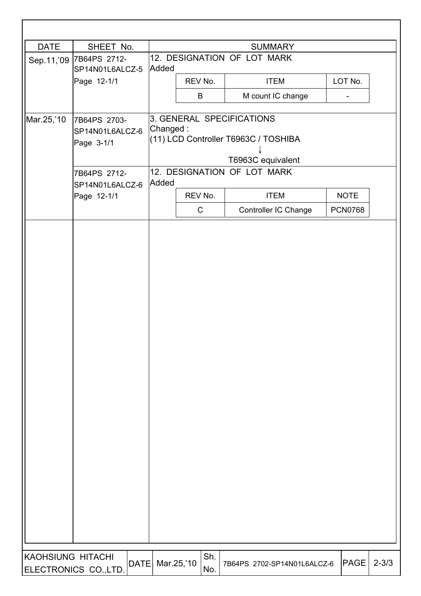| <b>DATE</b>       | SHEET No.                                                     |          |            |              |                           | <b>SUMMARY</b>                                                                           |                |           |
|-------------------|---------------------------------------------------------------|----------|------------|--------------|---------------------------|------------------------------------------------------------------------------------------|----------------|-----------|
|                   | Sep.11,'09   7B64PS 2712-                                     |          |            |              |                           | 12. DESIGNATION OF LOT MARK                                                              |                |           |
|                   | SP14N01L6ALCZ-5                                               | Added    |            |              |                           |                                                                                          |                |           |
|                   | Page 12-1/1                                                   |          | REV No.    |              |                           | <b>ITEM</b>                                                                              | LOT No.        |           |
|                   |                                                               |          | B          |              |                           | M count IC change                                                                        |                |           |
| Mar.25,'10        | 7B64PS 2703-<br>SP14N01L6ALCZ-6<br>Page 3-1/1<br>7B64PS 2712- | Changed: |            |              | 3. GENERAL SPECIFICATIONS | (11) LCD Controller T6963C / TOSHIBA<br>T6963C equivalent<br>12. DESIGNATION OF LOT MARK |                |           |
|                   | SP14N01L6ALCZ-6                                               | Added    |            |              |                           |                                                                                          |                |           |
|                   | Page 12-1/1                                                   |          | REV No.    |              |                           | <b>ITEM</b>                                                                              | <b>NOTE</b>    |           |
|                   |                                                               |          |            | $\mathsf{C}$ |                           | <b>Controller IC Change</b>                                                              | <b>PCN0768</b> |           |
|                   |                                                               |          |            |              |                           |                                                                                          |                |           |
| KAOHSIUNG HITACHI |                                                               |          |            | Sh.          |                           |                                                                                          |                |           |
|                   | <b>DATE</b><br>ELECTRONICS CO.,LTD.                           |          | Mar.25,'10 | No.          |                           | 7B64PS 2702-SP14N01L6ALCZ-6                                                              | PAGE           | $2 - 3/3$ |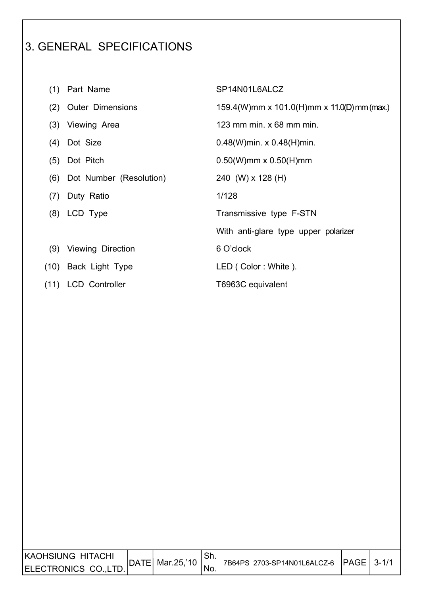# 3. GENERAL SPECIFICATIONS

- 
- 
- 
- 
- 
- (6) Dot Number (Resolution) 240 (W) x 128 (H)
- (7) Duty Ratio 1/128
- 
- (9) Viewing Direction 6 O'clock
- (10) Back Light Type LED ( Color : White ).
- (11) LCD Controller T6963C equivalent

I

#### (1) Part Name SP14N01L6ALCZ

(2) Outer Dimensions 159.4(W)mm x 101.0(H)mm x 11.0(D) mm (max.)

(3) Viewing Area 123 mm min. x 68 mm min.

(4) Dot Size 0.48(W)min. x 0.48(H)min.

(5) Dot Pitch 0.50(W)mm x 0.50(H)mm

(8) LCD Type Transmissive type F-STN

With anti-glare type upper polarizer

| IKAOHSIUNG HITACHI   | $ $ DATE $ $ Mar.25,'10 | <sup>1</sup> 7B64PS 2703-SP14N01L6ALCZ-6   PAGE   3-1/1 |  |
|----------------------|-------------------------|---------------------------------------------------------|--|
| ELECTRONICS CO.,LTD. |                         |                                                         |  |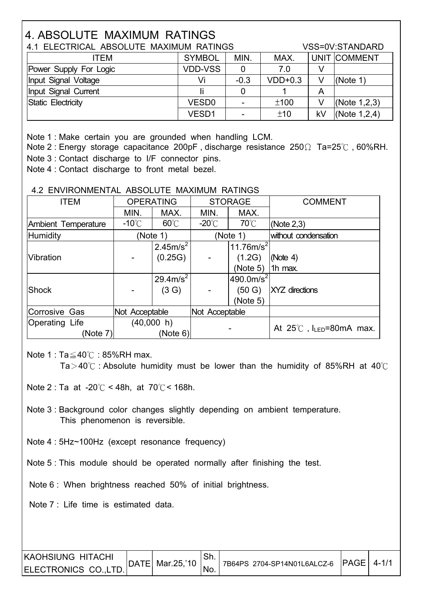# 4. ABSOLUTE MAXIMUM RATINGS

| 4.1 ELECTRICAL ABSOLUTE MAXIMUM RATINGS | VSS=0V:STANDARD   |        |           |    |                     |
|-----------------------------------------|-------------------|--------|-----------|----|---------------------|
| ITEM                                    | <b>SYMBOL</b>     | MIN.   | MAX.      |    | <b>UNIT COMMENT</b> |
| Power Supply For Logic                  | <b>VDD-VSS</b>    | 0      | 7.0       |    |                     |
| Input Signal Voltage                    | Vi                | $-0.3$ | $VDD+0.3$ | V  | (Note 1)            |
| Input Signal Current                    |                   |        |           | Α  |                     |
| Static Electricity                      | VESD <sub>0</sub> | -      | ±100      |    | (Note $1,2,3$ )     |
|                                         | VESD1             |        | ±10       | kV | (Note $1,2,4$ )     |

Note 1 : Make certain you are grounded when handling LCM.

Note 2 : Energy storage capacitance 200pF, discharge resistance 250 $\Omega$  Ta=25°C, 60%RH.

Note 3 : Contact discharge to I/F connector pins.

Note 4 : Contact discharge to front metal bezel.

#### 4.2 ENVIRONMENTAL ABSOLUTE MAXIMUM RATINGS

| <b>ITEM</b>         | <b>OPERATING</b> |                     |                 | <b>STORAGE</b>        | <b>COMMENT</b>                            |
|---------------------|------------------|---------------------|-----------------|-----------------------|-------------------------------------------|
|                     | MIN.             | MAX.                | MIN.            | MAX.                  |                                           |
| Ambient Temperature | $-10^{\circ}$ C  | $60^{\circ}$ C      | $-20^{\circ}$ C | 70°C                  | (Note $2,3$ )                             |
| Humidity            |                  | (Note 1)            |                 | (Note 1)              | without condensation                      |
|                     |                  | $2.45m/s^2$         |                 | 11.76 $m/s^2$         |                                           |
| <b>Vibration</b>    |                  | (0.25G)             |                 | (1.2G)                | (Note 4)                                  |
|                     |                  |                     |                 | (Note 5)              | $ 1h \text{ max.}$                        |
|                     |                  | $29.4 \text{m/s}^2$ |                 | 490.0m/s <sup>2</sup> |                                           |
| Shock               |                  | (3 G)               |                 | (50 G)                | <b>XYZ</b> directions                     |
|                     |                  |                     |                 | (Note 5)              |                                           |
| Corrosive Gas       | Not Acceptable   |                     | Not Acceptable  |                       |                                           |
| Operating Life      |                  | (40,000 h)          |                 |                       |                                           |
| (Note 7)            |                  | (Note 6)            |                 |                       | At $25^{\circ}$ C, $I_{LED} = 80$ mA max. |

Note 1 : Ta $\leq$ 40°C : 85%RH max.

Ta $>$ 40°C : Absolute humidity must be lower than the humidity of 85%RH at 40°C

Note 2 : Ta at -20°C < 48h, at  $70^{\circ}$ C < 168h.

- Note 3 : Background color changes slightly depending on ambient temperature. This phenomenon is reversible.
- Note 4 : 5Hz~100Hz (except resonance frequency)
- Note 5 : This module should be operated normally after finishing the test.

Note 6 : When brightness reached 50% of initial brightness.

Note 7 : Life time is estimated data.

| <b>IKAOHSIUNG HITACHI</b> |                             |                                                     |  |
|---------------------------|-----------------------------|-----------------------------------------------------|--|
| ELECTRONICS COLTD.        | $ $ DATE $ $ Mar.25,'10 $ $ | <sup>1</sup> 7B64PS 2704-SP14N01L6ALCZ-6 PAGE 4-1/1 |  |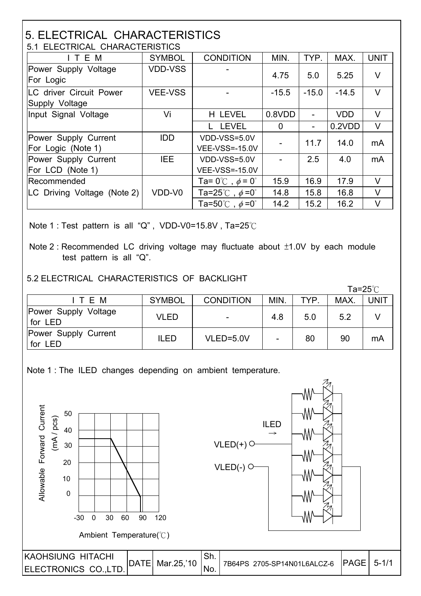#### 5. ELECTRICAL CHARACTERISTICS 5.1 ELECTRICAL CHARACTERISTICS

| <u>J.I LLLUINUAL UIMMUILINJIIUJ</u>               |                |                                          |             |                |            |             |  |  |  |
|---------------------------------------------------|----------------|------------------------------------------|-------------|----------------|------------|-------------|--|--|--|
| ITEM                                              | <b>SYMBOL</b>  | <b>CONDITION</b>                         | MIN.        | TYP.           | MAX.       | <b>UNIT</b> |  |  |  |
| Power Supply Voltage<br>For Logic                 | <b>VDD-VSS</b> |                                          | 4.75        | 5.0            | 5.25       | V           |  |  |  |
| <b>ILC driver Circuit Power</b><br>Supply Voltage | <b>VEE-VSS</b> |                                          | $-15.5$     | $-15.0$        | $-14.5$    | V           |  |  |  |
| Input Signal Voltage                              | Vi             | H LEVEL                                  | 0.8VDD      |                | <b>VDD</b> | V           |  |  |  |
|                                                   |                | L LEVEL                                  | $\mathbf 0$ | $\blacksquare$ | 0.2VDD     | V           |  |  |  |
| Power Supply Current<br>For Logic (Note 1)        | <b>IDD</b>     | VDD-VSS=5.0V<br><b>VEE-VSS=-15.0V</b>    |             | 11.7           | 14.0       | mA          |  |  |  |
| Power Supply Current                              | <b>IEE</b>     | VDD-VSS=5.0V                             |             | 2.5            | 4.0        | mA          |  |  |  |
| For LCD (Note 1)                                  |                | <b>VEE-VSS=-15.0V</b>                    |             |                |            |             |  |  |  |
| Recommended                                       |                | Ta= $0^{\circ}$ C, $\phi$ = $0^{\circ}$  | 15.9        | 16.9           | 17.9       | $\vee$      |  |  |  |
| LC Driving Voltage (Note 2)                       | VDD-V0         | Ta=25 $^{\circ}$ C, $\phi$ =0 $^{\circ}$ | 14.8        | 15.8           | 16.8       | V           |  |  |  |
|                                                   |                | Ta=50 $^{\circ}$ C, $\phi$ =0 $^{\circ}$ | 14.2        | 15.2           | 16.2       | V           |  |  |  |

Note 1 : Test pattern is all "Q", VDD-V0=15.8V, Ta=25°C

Note 2 : Recommended LC driving voltage may fluctuate about  $\pm 1.0V$  by each module test pattern is all "Q".

5.2 ELECTRICAL CHARACTERISTICS OF BACKLIGHT

|                                 |               |                  |      |      |      | Ta=25 $°C$  |
|---------------------------------|---------------|------------------|------|------|------|-------------|
| ITEM                            | <b>SYMBOL</b> | <b>CONDITION</b> | MIN. | TYP. | MAX. | <b>UNIT</b> |
| Power Supply Voltage<br>for LED | VLED          | -                | 4.8  | 5.0  | 5.2  |             |
| Power Supply Current<br>for LED | <b>ILED</b>   | VLED=5.0V        |      | 80   | 90   | mA          |

Note 1 : The ILED changes depending on ambient temperature.

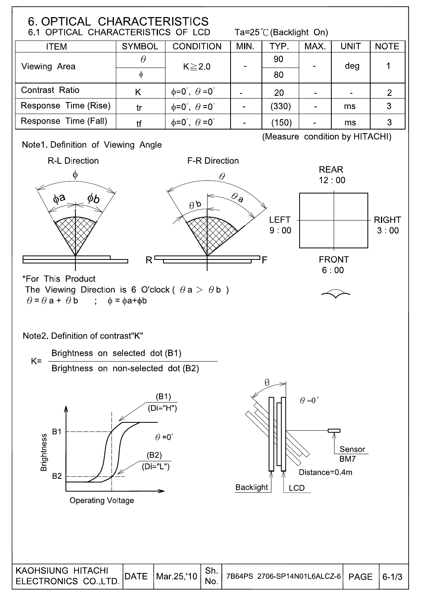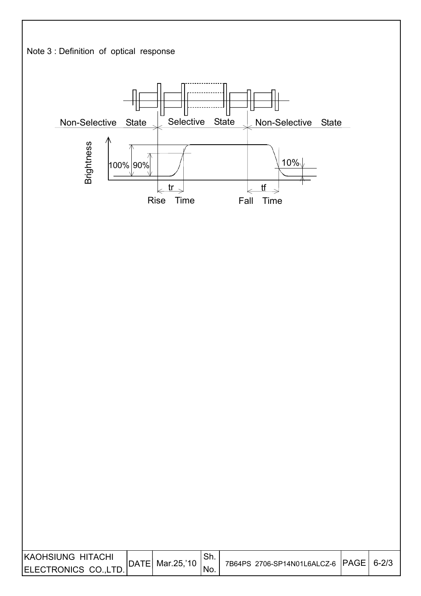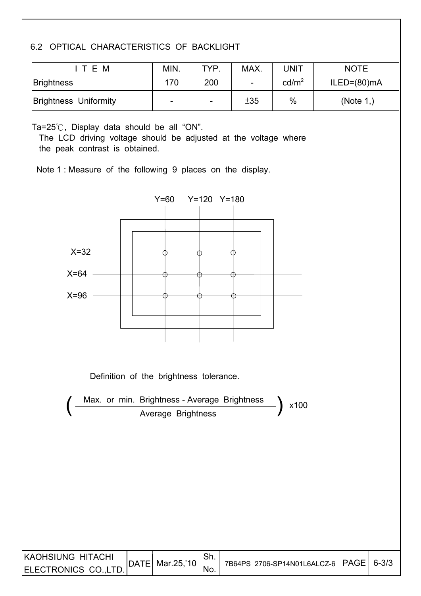## 6.2 OPTICAL CHARACTERISTICS OF BACKLIGHT

| T E M                 | MIN.                     | <b>TYP</b> | MAX. | UNIT              | <b>NOTE</b>   |
|-----------------------|--------------------------|------------|------|-------------------|---------------|
| <b>Brightness</b>     | 170                      | 200        | -    | cd/m <sup>2</sup> | $ILED=(80)mA$ |
| Brightness Uniformity | $\overline{\phantom{0}}$ | ۰.         | ±35  | %                 | (Note 1.)     |

Ta=25 $\degree$ C, Display data should be all "ON".

 $\overline{\phantom{a}}$ 

The LCD driving voltage should be adjusted at the voltage where the peak contrast is obtained.

Note 1 : Measure of the following 9 places on the display.



Definition of the brightness tolerance.

Average Brightness Max. or min. Brightness - Average Brightness \, x100

| IKAOHSIUNG HITACHI   |                  | 7B64PS 2706-SP14N01L6ALCZ-6 PAGE   6-3/3 |  |
|----------------------|------------------|------------------------------------------|--|
| ELECTRONICS CO.,LTD. | DATE  Mar.25,'10 |                                          |  |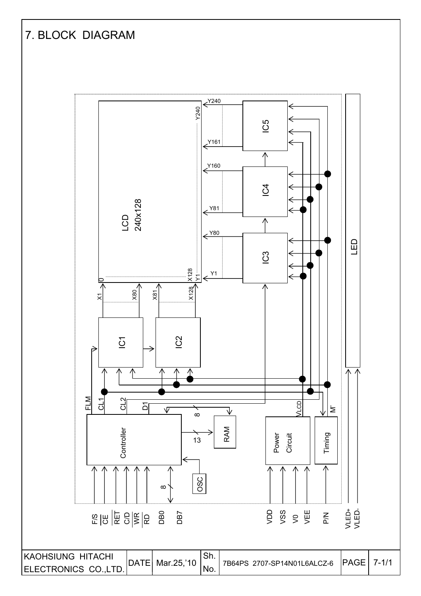# 7. BLOCK DIAGRAM

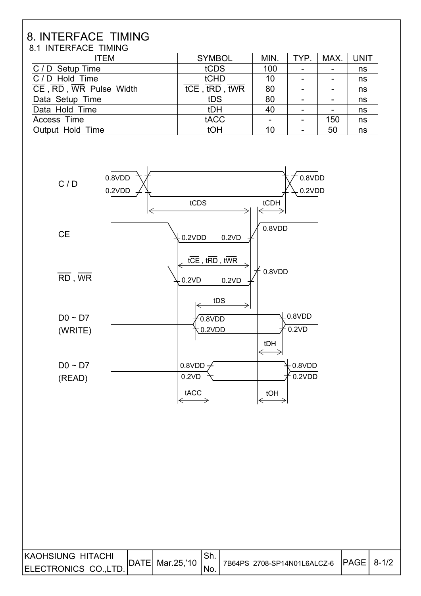## 8. INTERFACE TIMING 8.1 INTERFACE TIMING

| <b>ITEM</b>            | <b>SYMBOL</b> | MIN. | TYP.                     | MAX. | UNIT |
|------------------------|---------------|------|--------------------------|------|------|
| $ C / D$ Setup Time    | tCDS          | 100  | $\overline{\phantom{a}}$ |      | ns   |
| $ C / D$ Hold Time     | tCHD          | 10   | $\overline{\phantom{a}}$ |      | ns   |
| CE, RD, WR Pulse Width | tCE, tRD, tWR | 80   |                          |      | ns   |
| Data Setup Time        | tDS           | 80   |                          |      | ns   |
| Data Hold Time         | tDH           | 40   | ۰                        |      | ns   |
| Access Time            | tACC          |      |                          | 150  | ns   |
| Output Hold Time       | tOH           | 10   | $\overline{\phantom{0}}$ | 50   | ns   |



| KAOHSIUNG HITACHI     |                     | .ו וכ |                                             |  |
|-----------------------|---------------------|-------|---------------------------------------------|--|
| ELECTRONICS CO., LTD. | $ DATE $ Mar.25,'10 | 'NO.  | '7B64PS 2708-SP14N01L6ALCZ-6   PAGE   8-1/2 |  |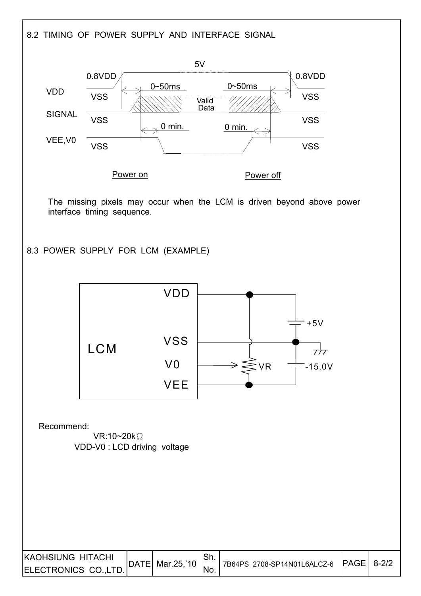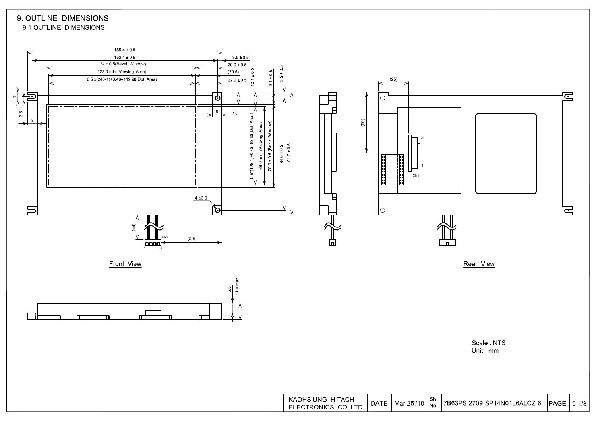#### 9. OUTLINE DIMENSIONS 9.1 OUTLINE DIMENSIONS



Scale: NTS Unit mm

| <b>HITACHI</b><br>KAOHSIUNG<br>TD.<br>`° ເ໐.∟<br>しFRONICS<br>— r<br>. I D. . | DATE | Mar 25.'10 | Sh.<br>l No. | 17B63PS 2709-SP14N01L6ALCZ-6 | <b>PAGE</b> | $9 - 1/3$ |
|------------------------------------------------------------------------------|------|------------|--------------|------------------------------|-------------|-----------|
|------------------------------------------------------------------------------|------|------------|--------------|------------------------------|-------------|-----------|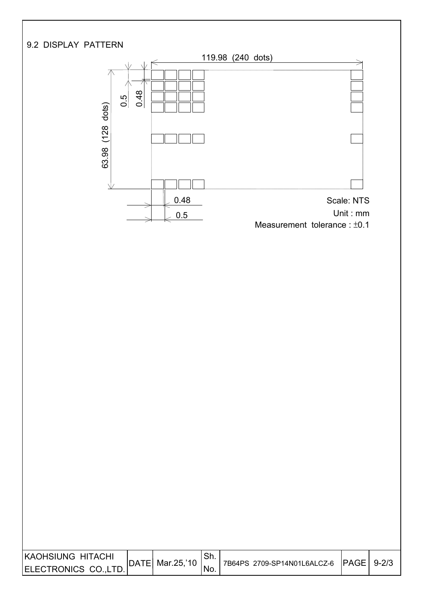

I

 $\overline{\phantom{a}}$ 

| KAOHSIUNG HITACHI    | DATE  Mar.25,'10 | Sh.  | <sup>1</sup> 7B64PS 2709-SP14N01L6ALCZ-6 PAGE 9-2/3 |  |
|----------------------|------------------|------|-----------------------------------------------------|--|
| ELECTRONICS CO.,LTD. |                  | 'NO. |                                                     |  |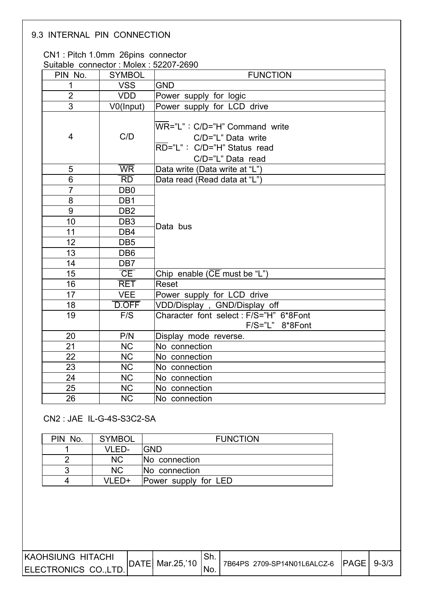## 9.3 INTERNAL PIN CONNECTION

I

I

#### CN1 : Pitch 1.0mm 26pins connector Suitable connector : Molex : 52207-2690

| Suitable connector worex . 52207-2090<br>PIN No. | <b>SYMBOL</b>                     | <b>FUNCTION</b>                                                                                                              |  |  |  |  |
|--------------------------------------------------|-----------------------------------|------------------------------------------------------------------------------------------------------------------------------|--|--|--|--|
| $\mathbf{1}$                                     | <b>VSS</b>                        | <b>GND</b>                                                                                                                   |  |  |  |  |
| $\overline{2}$                                   | <b>VDD</b>                        | Power supply for logic                                                                                                       |  |  |  |  |
| $\overline{3}$                                   | V0(Input)                         | Power supply for LCD drive                                                                                                   |  |  |  |  |
| 4                                                | C/D                               | WR="L": C/D="H" Command write<br>C/D="L" Data write<br>$\overline{\text{RD}}$ ="L": C/D="H" Status read<br>C/D="L" Data read |  |  |  |  |
| 5                                                | <b>WR</b>                         | Data write (Data write at "L")                                                                                               |  |  |  |  |
| 6                                                | $\overline{\text{RD}}$            | Data read (Read data at "L")                                                                                                 |  |  |  |  |
| $\overline{7}$                                   | DB <sub>0</sub>                   |                                                                                                                              |  |  |  |  |
| 8                                                | DB1                               |                                                                                                                              |  |  |  |  |
| 9                                                | DB <sub>2</sub>                   |                                                                                                                              |  |  |  |  |
| 10                                               | DB <sub>3</sub>                   | Data bus                                                                                                                     |  |  |  |  |
| 11                                               | DB4                               |                                                                                                                              |  |  |  |  |
| 12                                               | DB <sub>5</sub>                   |                                                                                                                              |  |  |  |  |
| 13                                               | DB <sub>6</sub>                   |                                                                                                                              |  |  |  |  |
| 14                                               | DB <sub>7</sub>                   |                                                                                                                              |  |  |  |  |
| 15                                               | $\overline{\overline{\text{CE}}}$ | Chip enable ( $\overline{\text{CE}}$ must be $\overline{\text{'L}}$ ")                                                       |  |  |  |  |
| 16                                               | <b>RET</b>                        | Reset                                                                                                                        |  |  |  |  |
| 17                                               | <b>VEE</b>                        | Power supply for LCD drive                                                                                                   |  |  |  |  |
| 18                                               | D.OFF                             | VDD/Display, GND/Display off                                                                                                 |  |  |  |  |
| 19                                               | F/S                               | Character font select: F/S="H" 6*8Font<br>$F/S="L" 8*8Font$                                                                  |  |  |  |  |
| 20                                               | P/N                               | Display mode reverse.                                                                                                        |  |  |  |  |
| 21                                               | <b>NC</b>                         | No connection                                                                                                                |  |  |  |  |
| 22                                               | <b>NC</b>                         | No connection                                                                                                                |  |  |  |  |
| 23                                               | <b>NC</b>                         | No connection                                                                                                                |  |  |  |  |
| 24                                               | <b>NC</b>                         | No connection                                                                                                                |  |  |  |  |
| 25                                               | <b>NC</b>                         | No connection                                                                                                                |  |  |  |  |
| 26                                               | <b>NC</b>                         | No connection                                                                                                                |  |  |  |  |

CN2 : JAE IL-G-4S-S3C2-SA

| PIN No. | <b>SYMBOL</b> | <b>FUNCTION</b>      |
|---------|---------------|----------------------|
|         | VLED-         | GND                  |
|         | <b>NC</b>     | No connection        |
| 3       | <b>NC</b>     | No connection        |
| 4       | √I FD+        | Power supply for LED |

| <b>IKAOHSIUNG HITACHI</b> |  |      | 17B64PS 2709-SP14N01L6ALCZ-6 PAGE 9-3/3 |  |
|---------------------------|--|------|-----------------------------------------|--|
| ELECTRONICS CO., LTD.     |  | 'NO. |                                         |  |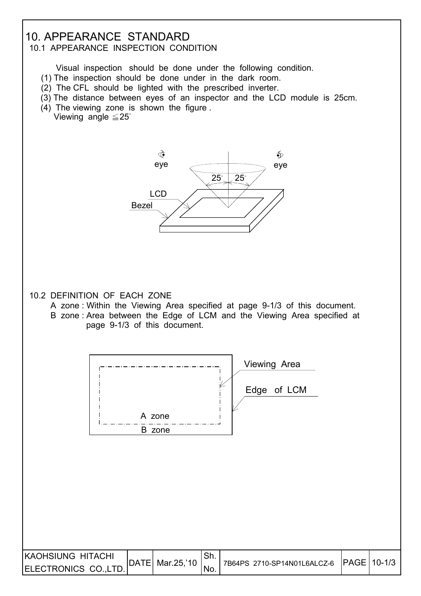## 10. APPEARANCE STANDARD

## 10.1 APPEARANCE INSPECTION CONDITION

Visual inspection should be done under the following condition.

- (1) The inspection should be done under in the dark room.
- (2) The CFL should be lighted with the prescribed inverter.
- (3) The distance between eyes of an inspector and the LCD module is 25cm.
- (4) The viewing zone is shown the figure . Viewing angle  $\leq$  25 $\degree$



#### 10.2 DEFINITION OF EACH ZONE

I

- A zone : Within the Viewing Area specified at page 9-1/3 of this document.
- B zone : Area between the Edge of LCM and the Viewing Area specified at page 9-1/3 of this document.



| IKAUHSIUNG HITACHI    | $ $ DATE   Mar.25,'10 |       | 7B64PS 2710-SP14N01L6ALCZ-6 PAGE 10-1/3 |  |
|-----------------------|-----------------------|-------|-----------------------------------------|--|
| ELECTRONICS CO., LTD. |                       | - No. |                                         |  |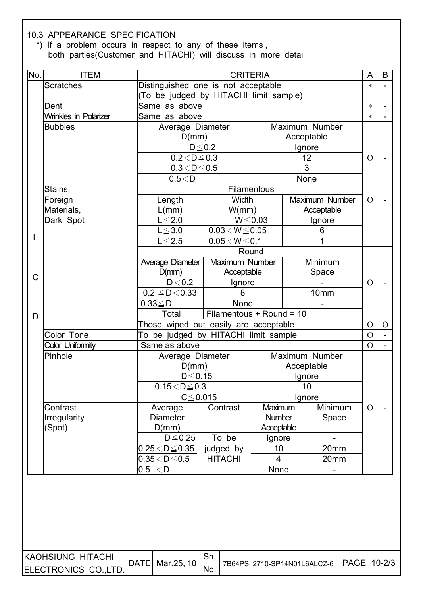#### 10.3 APPEARANCE SPECIFICATION

 $\overline{\phantom{a}}$ 

 \*) If a problem occurs in respect to any of these items , both parties(Customer and HITACHI) will discuss in more detail

| Distinguished one is not acceptable<br><b>Scratches</b><br>(To be judged by HITACHI limit sample)<br>Same as above<br>Dent<br>Wrinkles in Polarizer<br>Same as above<br>Maximum Number<br><b>Bubbles</b><br>Average Diameter<br>Acceptable<br>D(mm)<br>$D \leq 0.2$<br>Ignore<br>$0.2 < D \le 0.3$<br>12<br>$\overline{3}$<br>$0.3 < D \le 0.5$<br>0.5 < D<br>None<br>Stains,<br><b>Filamentous</b><br>Width<br>Foreign<br>Maximum Number<br>Length<br>Materials,<br>L/mm)<br>W/mm)<br>Acceptable<br>Dark Spot<br>$L \leq 2.0$<br>$W \le 0.03$<br>Ignore<br>$0.03\!<\!W\!\leq\!0.05$<br>$L \le 3.0$<br>6<br>L<br>$L \le 2.5$<br>$0.05\!<\!W\!\leq\!0.1$<br>1<br>Round<br>Average Diameter<br>Maximum Number<br>Minimum<br>D(mm)<br>Acceptable<br>Space<br>$\mathsf{C}$<br>D < 0.2<br>Ignore<br>8<br>10mm<br>$0.2 \leq D < 0.33$<br>None<br>$0.33 \leq D$<br>Filamentous + Round = 10<br>Total<br>D<br>Those wiped out easily are acceptable<br>To be judged by HITACHI limit sample<br>Color Tone<br><b>Color Uniformity</b><br>Same as above<br>Pinhole<br>Maximum Number<br>Average Diameter<br>D(mm)<br>Acceptable<br>$D \leq 0.15$<br>Ignore<br>$0.15 \leq D \leq 0.3$<br>10<br>$C \leq 0.015$<br>Ignore<br>Contrast<br>Contrast<br>Maximum<br>Minimum<br>Average<br><b>Irregularity</b><br><b>Diameter</b><br>Number<br>Space<br>(Spot)<br>D(mm)<br>Acceptable<br>To be<br>$D \leq 0.25$<br>Ignore<br>$0.25$ $<$ $D \le 0.35$<br>10 <sub>1</sub><br>judged by<br>20mm<br>$0.35<$ D $\leq$ 0.5<br><b>HITACHI</b><br>$\overline{\mathbf{4}}$<br>20mm<br>None<br>0.5 < D | A              |  | B              |
|----------------------------------------------------------------------------------------------------------------------------------------------------------------------------------------------------------------------------------------------------------------------------------------------------------------------------------------------------------------------------------------------------------------------------------------------------------------------------------------------------------------------------------------------------------------------------------------------------------------------------------------------------------------------------------------------------------------------------------------------------------------------------------------------------------------------------------------------------------------------------------------------------------------------------------------------------------------------------------------------------------------------------------------------------------------------------------------------------------------------------------------------------------------------------------------------------------------------------------------------------------------------------------------------------------------------------------------------------------------------------------------------------------------------------------------------------------------------------------------------------------------------------------------------------------------------------|----------------|--|----------------|
|                                                                                                                                                                                                                                                                                                                                                                                                                                                                                                                                                                                                                                                                                                                                                                                                                                                                                                                                                                                                                                                                                                                                                                                                                                                                                                                                                                                                                                                                                                                                                                            | $\ast$         |  |                |
|                                                                                                                                                                                                                                                                                                                                                                                                                                                                                                                                                                                                                                                                                                                                                                                                                                                                                                                                                                                                                                                                                                                                                                                                                                                                                                                                                                                                                                                                                                                                                                            |                |  |                |
|                                                                                                                                                                                                                                                                                                                                                                                                                                                                                                                                                                                                                                                                                                                                                                                                                                                                                                                                                                                                                                                                                                                                                                                                                                                                                                                                                                                                                                                                                                                                                                            | $\ast$         |  | $\blacksquare$ |
|                                                                                                                                                                                                                                                                                                                                                                                                                                                                                                                                                                                                                                                                                                                                                                                                                                                                                                                                                                                                                                                                                                                                                                                                                                                                                                                                                                                                                                                                                                                                                                            | $\ast$         |  |                |
|                                                                                                                                                                                                                                                                                                                                                                                                                                                                                                                                                                                                                                                                                                                                                                                                                                                                                                                                                                                                                                                                                                                                                                                                                                                                                                                                                                                                                                                                                                                                                                            |                |  |                |
|                                                                                                                                                                                                                                                                                                                                                                                                                                                                                                                                                                                                                                                                                                                                                                                                                                                                                                                                                                                                                                                                                                                                                                                                                                                                                                                                                                                                                                                                                                                                                                            |                |  |                |
|                                                                                                                                                                                                                                                                                                                                                                                                                                                                                                                                                                                                                                                                                                                                                                                                                                                                                                                                                                                                                                                                                                                                                                                                                                                                                                                                                                                                                                                                                                                                                                            |                |  |                |
|                                                                                                                                                                                                                                                                                                                                                                                                                                                                                                                                                                                                                                                                                                                                                                                                                                                                                                                                                                                                                                                                                                                                                                                                                                                                                                                                                                                                                                                                                                                                                                            | $\Omega$       |  |                |
|                                                                                                                                                                                                                                                                                                                                                                                                                                                                                                                                                                                                                                                                                                                                                                                                                                                                                                                                                                                                                                                                                                                                                                                                                                                                                                                                                                                                                                                                                                                                                                            |                |  |                |
|                                                                                                                                                                                                                                                                                                                                                                                                                                                                                                                                                                                                                                                                                                                                                                                                                                                                                                                                                                                                                                                                                                                                                                                                                                                                                                                                                                                                                                                                                                                                                                            |                |  |                |
|                                                                                                                                                                                                                                                                                                                                                                                                                                                                                                                                                                                                                                                                                                                                                                                                                                                                                                                                                                                                                                                                                                                                                                                                                                                                                                                                                                                                                                                                                                                                                                            |                |  |                |
|                                                                                                                                                                                                                                                                                                                                                                                                                                                                                                                                                                                                                                                                                                                                                                                                                                                                                                                                                                                                                                                                                                                                                                                                                                                                                                                                                                                                                                                                                                                                                                            | $\overline{O}$ |  |                |
|                                                                                                                                                                                                                                                                                                                                                                                                                                                                                                                                                                                                                                                                                                                                                                                                                                                                                                                                                                                                                                                                                                                                                                                                                                                                                                                                                                                                                                                                                                                                                                            |                |  |                |
|                                                                                                                                                                                                                                                                                                                                                                                                                                                                                                                                                                                                                                                                                                                                                                                                                                                                                                                                                                                                                                                                                                                                                                                                                                                                                                                                                                                                                                                                                                                                                                            |                |  |                |
|                                                                                                                                                                                                                                                                                                                                                                                                                                                                                                                                                                                                                                                                                                                                                                                                                                                                                                                                                                                                                                                                                                                                                                                                                                                                                                                                                                                                                                                                                                                                                                            |                |  |                |
|                                                                                                                                                                                                                                                                                                                                                                                                                                                                                                                                                                                                                                                                                                                                                                                                                                                                                                                                                                                                                                                                                                                                                                                                                                                                                                                                                                                                                                                                                                                                                                            |                |  |                |
|                                                                                                                                                                                                                                                                                                                                                                                                                                                                                                                                                                                                                                                                                                                                                                                                                                                                                                                                                                                                                                                                                                                                                                                                                                                                                                                                                                                                                                                                                                                                                                            |                |  |                |
|                                                                                                                                                                                                                                                                                                                                                                                                                                                                                                                                                                                                                                                                                                                                                                                                                                                                                                                                                                                                                                                                                                                                                                                                                                                                                                                                                                                                                                                                                                                                                                            |                |  |                |
|                                                                                                                                                                                                                                                                                                                                                                                                                                                                                                                                                                                                                                                                                                                                                                                                                                                                                                                                                                                                                                                                                                                                                                                                                                                                                                                                                                                                                                                                                                                                                                            | $\Omega$       |  |                |
|                                                                                                                                                                                                                                                                                                                                                                                                                                                                                                                                                                                                                                                                                                                                                                                                                                                                                                                                                                                                                                                                                                                                                                                                                                                                                                                                                                                                                                                                                                                                                                            |                |  |                |
|                                                                                                                                                                                                                                                                                                                                                                                                                                                                                                                                                                                                                                                                                                                                                                                                                                                                                                                                                                                                                                                                                                                                                                                                                                                                                                                                                                                                                                                                                                                                                                            |                |  |                |
|                                                                                                                                                                                                                                                                                                                                                                                                                                                                                                                                                                                                                                                                                                                                                                                                                                                                                                                                                                                                                                                                                                                                                                                                                                                                                                                                                                                                                                                                                                                                                                            |                |  |                |
|                                                                                                                                                                                                                                                                                                                                                                                                                                                                                                                                                                                                                                                                                                                                                                                                                                                                                                                                                                                                                                                                                                                                                                                                                                                                                                                                                                                                                                                                                                                                                                            | $\mathbf O$    |  | $\Omega$       |
|                                                                                                                                                                                                                                                                                                                                                                                                                                                                                                                                                                                                                                                                                                                                                                                                                                                                                                                                                                                                                                                                                                                                                                                                                                                                                                                                                                                                                                                                                                                                                                            | $\Omega$       |  |                |
|                                                                                                                                                                                                                                                                                                                                                                                                                                                                                                                                                                                                                                                                                                                                                                                                                                                                                                                                                                                                                                                                                                                                                                                                                                                                                                                                                                                                                                                                                                                                                                            | $\overline{O}$ |  |                |
|                                                                                                                                                                                                                                                                                                                                                                                                                                                                                                                                                                                                                                                                                                                                                                                                                                                                                                                                                                                                                                                                                                                                                                                                                                                                                                                                                                                                                                                                                                                                                                            |                |  |                |
|                                                                                                                                                                                                                                                                                                                                                                                                                                                                                                                                                                                                                                                                                                                                                                                                                                                                                                                                                                                                                                                                                                                                                                                                                                                                                                                                                                                                                                                                                                                                                                            |                |  |                |
|                                                                                                                                                                                                                                                                                                                                                                                                                                                                                                                                                                                                                                                                                                                                                                                                                                                                                                                                                                                                                                                                                                                                                                                                                                                                                                                                                                                                                                                                                                                                                                            |                |  |                |
|                                                                                                                                                                                                                                                                                                                                                                                                                                                                                                                                                                                                                                                                                                                                                                                                                                                                                                                                                                                                                                                                                                                                                                                                                                                                                                                                                                                                                                                                                                                                                                            |                |  |                |
|                                                                                                                                                                                                                                                                                                                                                                                                                                                                                                                                                                                                                                                                                                                                                                                                                                                                                                                                                                                                                                                                                                                                                                                                                                                                                                                                                                                                                                                                                                                                                                            |                |  |                |
|                                                                                                                                                                                                                                                                                                                                                                                                                                                                                                                                                                                                                                                                                                                                                                                                                                                                                                                                                                                                                                                                                                                                                                                                                                                                                                                                                                                                                                                                                                                                                                            | $\overline{O}$ |  |                |
|                                                                                                                                                                                                                                                                                                                                                                                                                                                                                                                                                                                                                                                                                                                                                                                                                                                                                                                                                                                                                                                                                                                                                                                                                                                                                                                                                                                                                                                                                                                                                                            |                |  |                |
|                                                                                                                                                                                                                                                                                                                                                                                                                                                                                                                                                                                                                                                                                                                                                                                                                                                                                                                                                                                                                                                                                                                                                                                                                                                                                                                                                                                                                                                                                                                                                                            |                |  |                |
|                                                                                                                                                                                                                                                                                                                                                                                                                                                                                                                                                                                                                                                                                                                                                                                                                                                                                                                                                                                                                                                                                                                                                                                                                                                                                                                                                                                                                                                                                                                                                                            |                |  |                |
|                                                                                                                                                                                                                                                                                                                                                                                                                                                                                                                                                                                                                                                                                                                                                                                                                                                                                                                                                                                                                                                                                                                                                                                                                                                                                                                                                                                                                                                                                                                                                                            |                |  |                |
|                                                                                                                                                                                                                                                                                                                                                                                                                                                                                                                                                                                                                                                                                                                                                                                                                                                                                                                                                                                                                                                                                                                                                                                                                                                                                                                                                                                                                                                                                                                                                                            |                |  |                |
|                                                                                                                                                                                                                                                                                                                                                                                                                                                                                                                                                                                                                                                                                                                                                                                                                                                                                                                                                                                                                                                                                                                                                                                                                                                                                                                                                                                                                                                                                                                                                                            |                |  |                |

| IKAOHSIUNG HITACHI   | DATE  Mar.25,'10 | 7B64PS 2710-SP14N01L6ALCZ-6 PAGE 10-2/3 |  |
|----------------------|------------------|-----------------------------------------|--|
| ELECTRONICS CO.,LTD. |                  |                                         |  |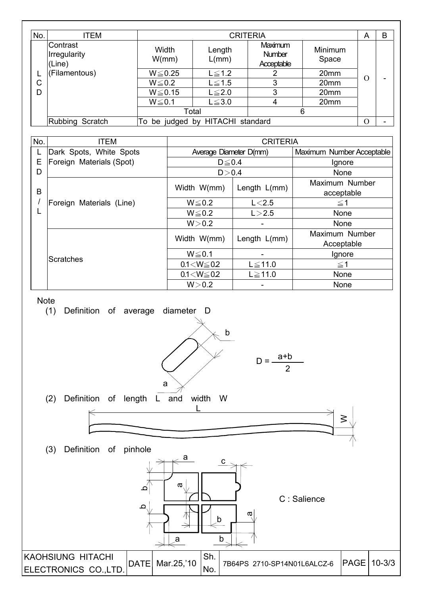| No.         | <b>ITEM</b>                               |                                   |                   |                                  |                 | <b>CRITERIA</b>                              |                                 |                           | A                  | B          |  |
|-------------|-------------------------------------------|-----------------------------------|-------------------|----------------------------------|-----------------|----------------------------------------------|---------------------------------|---------------------------|--------------------|------------|--|
|             | Contrast<br>Irregularity<br>(Line)        |                                   | Width<br>W/mm)    |                                  | Length<br>L(mm) |                                              | Maximum<br>Number<br>Acceptable |                           | Minimum<br>Space   |            |  |
| L           | (Filamentous)                             | $W \le 0.25$                      |                   | $L \leq 1.2$                     |                 | $\overline{2}$                               |                                 | 20mm                      |                    |            |  |
| $\mathsf C$ |                                           | $W \le 0.2$                       |                   | $L \le 1.5$                      |                 | $\overline{3}$                               |                                 | 20mm                      | $\Omega$           |            |  |
| D           |                                           | $W \le 0.15$                      |                   | $L \leq 2.0$                     |                 | $\mathfrak{S}$                               |                                 | 20mm                      |                    |            |  |
|             |                                           | $W \le 0.1$                       |                   | $L \leq 3.0$                     |                 | $\overline{\mathbf{4}}$                      |                                 | 20mm                      |                    |            |  |
|             |                                           |                                   | Total             |                                  |                 |                                              | 6                               |                           |                    |            |  |
|             | Rubbing Scratch                           |                                   |                   | To be judged by HITACHI standard |                 |                                              |                                 |                           | $\overline{O}$     |            |  |
| No.         | <b>ITEM</b>                               |                                   |                   |                                  |                 | <b>CRITERIA</b>                              |                                 |                           |                    |            |  |
| L           | Dark Spots, White Spots                   |                                   |                   | Average Diameter D(mm)           |                 |                                              |                                 | Maximum Number Acceptable |                    |            |  |
| Е           | Foreign Materials (Spot)                  |                                   |                   | $D \leq 0.4$                     |                 |                                              |                                 |                           | Ignore             |            |  |
| D           |                                           |                                   |                   | D > 0.4                          |                 |                                              |                                 |                           | None               |            |  |
|             |                                           |                                   |                   |                                  |                 |                                              |                                 | Maximum Number            |                    |            |  |
| B           |                                           |                                   |                   | Width W(mm)                      |                 | Length L(mm)                                 |                                 |                           | acceptable         |            |  |
|             | Foreign Materials (Line)                  |                                   |                   | $W \le 0.2$                      |                 | L < 2.5                                      |                                 |                           |                    |            |  |
|             |                                           |                                   |                   | $W \le 0.2$                      |                 | L > 2.5                                      |                                 |                           | $\leq$ 1<br>None   |            |  |
|             |                                           |                                   |                   | W > 0.2                          |                 |                                              |                                 |                           |                    |            |  |
|             |                                           |                                   |                   | Width W(mm)                      |                 | $\qquad \qquad \blacksquare$<br>Length L(mm) |                                 | Maximum Number            | None<br>Acceptable |            |  |
|             |                                           |                                   |                   | $W \le 0.1$                      |                 | $\overline{\phantom{a}}$                     | Ignore                          |                           |                    |            |  |
|             | <b>Scratches</b>                          |                                   | $0.1 < W \le 0.2$ |                                  |                 | $L \le 11.0$                                 | $\leq$ 1                        |                           |                    |            |  |
|             |                                           | $0.1 < W \le 0.2$<br>$L \ge 11.0$ |                   |                                  |                 | None                                         |                                 |                           |                    |            |  |
|             |                                           |                                   |                   | W > 0.2                          |                 |                                              |                                 |                           | None               |            |  |
|             | Definition of length<br>(2)               | a                                 | L and             | b<br>width<br>W                  |                 | $D = \frac{a+b}{a+b}$                        |                                 |                           |                    |            |  |
|             |                                           |                                   |                   |                                  |                 |                                              |                                 |                           |                    |            |  |
|             |                                           |                                   |                   |                                  |                 |                                              |                                 |                           | ≶                  |            |  |
|             |                                           |                                   |                   |                                  |                 |                                              |                                 |                           |                    |            |  |
|             | Definition of pinhole<br>(3)              |                                   | a                 | $\mathbf{C}$                     |                 |                                              |                                 |                           |                    |            |  |
|             |                                           | ≏<br>ِ ص                          | ᢐ<br>a            | n<br>b                           |                 | ᡕᢐ                                           |                                 | C: Salience               |                    |            |  |
|             | KAOHSIUNG HITACHI<br>ELECTRONICS CO.,LTD. | <b>DATE</b>                       | Mar.25,'10        | Sh.<br>No.                       |                 | 7B64PS 2710-SP14N01L6ALCZ-6                  |                                 |                           | PAGE               | $10 - 3/3$ |  |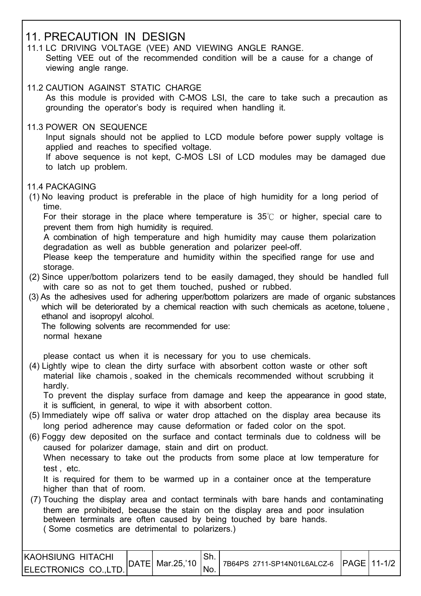## 11. PRECAUTION IN DESIGN

- 11.1 LC DRIVING VOLTAGE (VEE) AND VIEWING ANGLE RANGE. Setting VEE out of the recommended condition will be a cause for a change of viewing angle range.
- 11.2 CAUTION AGAINST STATIC CHARGE As this module is provided with C-MOS LSI, the care to take such a precaution as grounding the operator's body is required when handling it.
- 11.3 POWER ON SEQUENCE

 Input signals should not be applied to LCD module before power supply voltage is applied and reaches to specified voltage.

 If above sequence is not kept, C-MOS LSI of LCD modules may be damaged due to latch up problem.

- 11.4 PACKAGING
- (1) No leaving product is preferable in the place of high humidity for a long period of time.

For their storage in the place where temperature is  $35^\circ$  or higher, special care to prevent them from high humidity is required.

 A combination of high temperature and high humidity may cause them polarization degradation as well as bubble generation and polarizer peel-off.

 Please keep the temperature and humidity within the specified range for use and storage.

- (2) Since upper/bottom polarizers tend to be easily damaged, they should be handled full with care so as not to get them touched, pushed or rubbed.
- (3) As the adhesives used for adhering upper/bottom polarizers are made of organic substances which will be deteriorated by a chemical reaction with such chemicals as acetone, toluene , ethanol and isopropyl alcohol.

 The following solvents are recommended for use: normal hexane

please contact us when it is necessary for you to use chemicals.

 (4) Lightly wipe to clean the dirty surface with absorbent cotton waste or other soft material like chamois , soaked in the chemicals recommended without scrubbing it hardly.

 To prevent the display surface from damage and keep the appearance in good state, it is sufficient, in general, to wipe it with absorbent cotton.

- (5) Immediately wipe off saliva or water drop attached on the display area because its long period adherence may cause deformation or faded color on the spot.
- (6) Foggy dew deposited on the surface and contact terminals due to coldness will be caused for polarizer damage, stain and dirt on product. When necessary to take out the products from some place at low temperature for

test , etc.

It is required for them to be warmed up in a container once at the temperature higher than that of room.

 (7) Touching the display area and contact terminals with bare hands and contaminating them are prohibited, because the stain on the display area and poor insulation between terminals are often caused by being touched by bare hands. ( Some cosmetics are detrimental to polarizers.)

| KAOHSIUNG HITACHI    | DATEI | Mar.25,'10 |     | 7B64PS 2711-SP14N01L6ALCZ-6 | $IPAGE$   11-1/2 |  |
|----------------------|-------|------------|-----|-----------------------------|------------------|--|
| ELECTRONICS CO.,LTD. |       |            | NO. |                             |                  |  |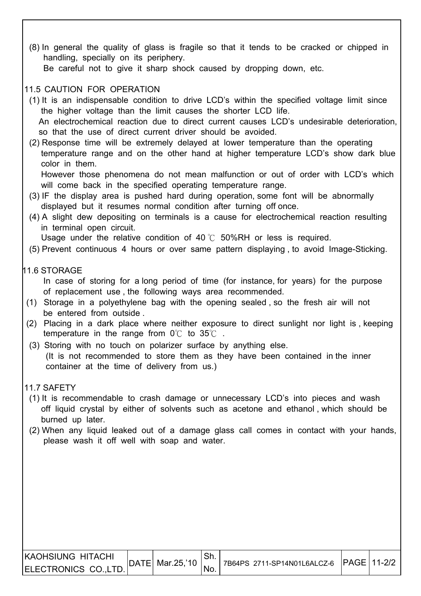(8) In general the quality of glass is fragile so that it tends to be cracked or chipped in handling, specially on its periphery.

Be careful not to give it sharp shock caused by dropping down, etc.

#### 11.5 CAUTION FOR OPERATION

- (1) It is an indispensable condition to drive LCD's within the specified voltage limit since the higher voltage than the limit causes the shorter LCD life. An electrochemical reaction due to direct current causes LCD's undesirable deterioration, so that the use of direct current driver should be avoided.
- (2) Response time will be extremely delayed at lower temperature than the operating temperature range and on the other hand at higher temperature LCD's show dark blue color in them.

 However those phenomena do not mean malfunction or out of order with LCD's which will come back in the specified operating temperature range.

- (3) IF the display area is pushed hard during operation, some font will be abnormally displayed but it resumes normal condition after turning off once.
- (4) A slight dew depositing on terminals is a cause for electrochemical reaction resulting in terminal open circuit.

Usage under the relative condition of 40  $\degree$ C 50%RH or less is required.

(5) Prevent continuous 4 hours or over same pattern displaying , to avoid Image-Sticking.

#### 11.6 STORAGE

 In case of storing for a long period of time (for instance, for years) for the purpose of replacement use , the following ways area recommended.

- (1) Storage in a polyethylene bag with the opening sealed , so the fresh air will not be entered from outside .
- (2) Placing in a dark place where neither exposure to direct sunlight nor light is , keeping temperature in the range from  $0^{\circ}$  to  $35^{\circ}$ .
- (3) Storing with no touch on polarizer surface by anything else. (It is not recommended to store them as they have been contained in the inner container at the time of delivery from us.)

#### 11.7 SAFETY

- (1) It is recommendable to crash damage or unnecessary LCD's into pieces and wash off liquid crystal by either of solvents such as acetone and ethanol , which should be burned up later.
- (2) When any liquid leaked out of a damage glass call comes in contact with your hands, please wash it off well with soap and water.

| IKAOHSIUNG HITACHI   |                                |                                         |  |
|----------------------|--------------------------------|-----------------------------------------|--|
| ELECTRONICS CO.,LTD. | $ $ DATE $ $ Mar.25, '10 $ $ . | 7B64PS 2711-SP14N01L6ALCZ-6 PAGE 11-2/2 |  |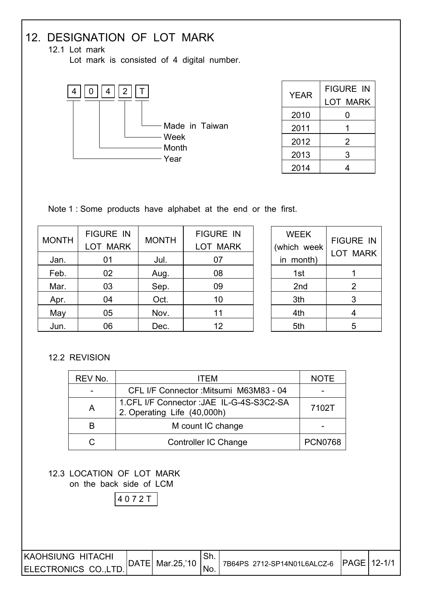# 12. DESIGNATION OF LOT MARK

12.1 Lot mark

Lot mark is consisted of 4 digital number.



| <b>YEAR</b> | <b>FIGURE IN</b><br><b>LOT MARK</b> |
|-------------|-------------------------------------|
| 2010        | 0                                   |
| 2011        |                                     |
| 2012        | 2                                   |
| 2013        | 3                                   |
| 2014        |                                     |

Note 1 : Some products have alphabet at the end or the first.

| <b>MONTH</b> | <b>FIGURE IN</b><br><b>LOT MARK</b> | <b>MONTH</b> | <b>FIGURE IN</b><br><b>LOT MARK</b> | <b>WEEK</b><br>(which week | <b>FIGURE IN</b> |
|--------------|-------------------------------------|--------------|-------------------------------------|----------------------------|------------------|
| Jan.         | 01                                  | Jul.         | 07                                  | in month)                  | <b>LOT MARK</b>  |
| Feb.         | 02                                  | Aug.         | 08                                  | 1st                        |                  |
| Mar.         | 03                                  | Sep.         | 09                                  | 2nd                        | 2                |
| Apr.         | 04                                  | Oct.         | 10                                  | 3th                        | 3                |
| May          | 05                                  | Nov.         | 11                                  | 4th                        |                  |
| Jun.         | 06                                  | Dec.         | 12                                  | 5th                        | 5                |

#### 12.2 REVISION

| REV No. | ITFM                                                                     |                |  |  |
|---------|--------------------------------------------------------------------------|----------------|--|--|
|         | CFL I/F Connector : Mitsumi M63M83 - 04                                  |                |  |  |
| A       | 1.CFL I/F Connector : JAE IL-G-4S-S3C2-SA<br>2. Operating Life (40,000h) | 7102T          |  |  |
| B       | M count IC change                                                        |                |  |  |
|         | Controller IC Change                                                     | <b>PCN0768</b> |  |  |

 12.3 LOCATION OF LOT MARK on the back side of LCM

4 0 7 2 T

| <b>IKAOHSIUNG HITACHI</b> |  | DATE  Mar.25,'10 | <sup>1</sup> 7B64PS 2712-SP14N01L6ALCZ-6 PAGE 12-1/1 |  |  |
|---------------------------|--|------------------|------------------------------------------------------|--|--|
| ELECTRONICS CO., LTD.     |  |                  |                                                      |  |  |